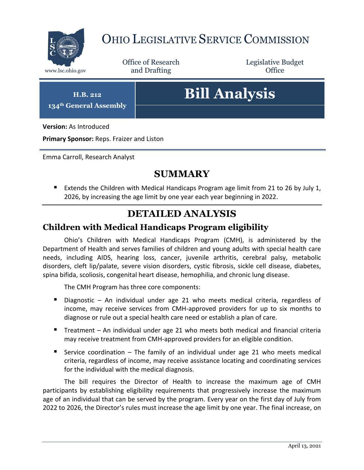

## OHIO LEGISLATIVE SERVICE COMMISSION

Office of Research www.lsc.ohio.gov **and Drafting Office** 

Legislative Budget

**H.B. 212**

**134th General Assembly**

# **Bill Analysis**

**Version:** As Introduced

**Primary Sponsor:** Reps. Fraizer and Liston

Emma Carroll, Research Analyst

### **SUMMARY**

Extends the Children with Medical Handicaps Program age limit from 21 to 26 by July 1, 2026, by increasing the age limit by one year each year beginning in 2022.

#### **DETAILED ANALYSIS**

#### **Children with Medical Handicaps Program eligibility**

Ohio's Children with Medical Handicaps Program (CMH), is administered by the Department of Health and serves families of children and young adults with special health care needs, including AIDS, hearing loss, cancer, juvenile arthritis, cerebral palsy, metabolic disorders, cleft lip/palate, severe vision disorders, cystic fibrosis, sickle cell disease, diabetes, spina bifida, scoliosis, congenital heart disease, hemophilia, and chronic lung disease.

The CMH Program has three core components:

- Diagnostic An individual under age 21 who meets medical criteria, regardless of income, may receive services from CMH-approved providers for up to six months to diagnose or rule out a special health care need or establish a plan of care.
- Treatment An individual under age 21 who meets both medical and financial criteria may receive treatment from CMH-approved providers for an eligible condition.
- Service coordination  $-$  The family of an individual under age 21 who meets medical criteria, regardless of income, may receive assistance locating and coordinating services for the individual with the medical diagnosis.

The bill requires the Director of Health to increase the maximum age of CMH participants by establishing eligibility requirements that progressively increase the maximum age of an individual that can be served by the program. Every year on the first day of July from 2022 to 2026, the Director's rules must increase the age limit by one year. The final increase, on